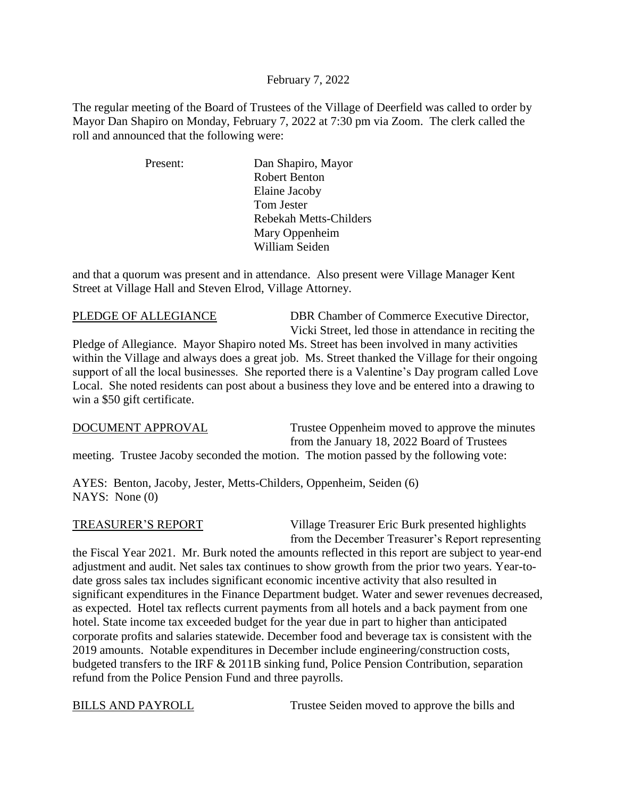### February 7, 2022

The regular meeting of the Board of Trustees of the Village of Deerfield was called to order by Mayor Dan Shapiro on Monday, February 7, 2022 at 7:30 pm via Zoom. The clerk called the roll and announced that the following were:

| Present: | Dan Shapiro, Mayor     |
|----------|------------------------|
|          | <b>Robert Benton</b>   |
|          | Elaine Jacoby          |
|          | Tom Jester             |
|          | Rebekah Metts-Childers |
|          | Mary Oppenheim         |
|          | William Seiden         |

and that a quorum was present and in attendance. Also present were Village Manager Kent Street at Village Hall and Steven Elrod, Village Attorney.

PLEDGE OF ALLEGIANCE DBR Chamber of Commerce Executive Director, Vicki Street, led those in attendance in reciting the

Pledge of Allegiance. Mayor Shapiro noted Ms. Street has been involved in many activities within the Village and always does a great job. Ms. Street thanked the Village for their ongoing support of all the local businesses. She reported there is a Valentine's Day program called Love Local. She noted residents can post about a business they love and be entered into a drawing to win a \$50 gift certificate.

DOCUMENT APPROVAL Trustee Oppenheim moved to approve the minutes from the January 18, 2022 Board of Trustees meeting. Trustee Jacoby seconded the motion. The motion passed by the following vote:

AYES: Benton, Jacoby, Jester, Metts-Childers, Oppenheim, Seiden (6) NAYS: None (0)

TREASURER'S REPORT Village Treasurer Eric Burk presented highlights from the December Treasurer's Report representing

the Fiscal Year 2021. Mr. Burk noted the amounts reflected in this report are subject to year-end adjustment and audit. Net sales tax continues to show growth from the prior two years. Year-todate gross sales tax includes significant economic incentive activity that also resulted in significant expenditures in the Finance Department budget. Water and sewer revenues decreased, as expected. Hotel tax reflects current payments from all hotels and a back payment from one hotel. State income tax exceeded budget for the year due in part to higher than anticipated corporate profits and salaries statewide. December food and beverage tax is consistent with the 2019 amounts. Notable expenditures in December include engineering/construction costs, budgeted transfers to the IRF & 2011B sinking fund, Police Pension Contribution, separation refund from the Police Pension Fund and three payrolls.

BILLS AND PAYROLL Trustee Seiden moved to approve the bills and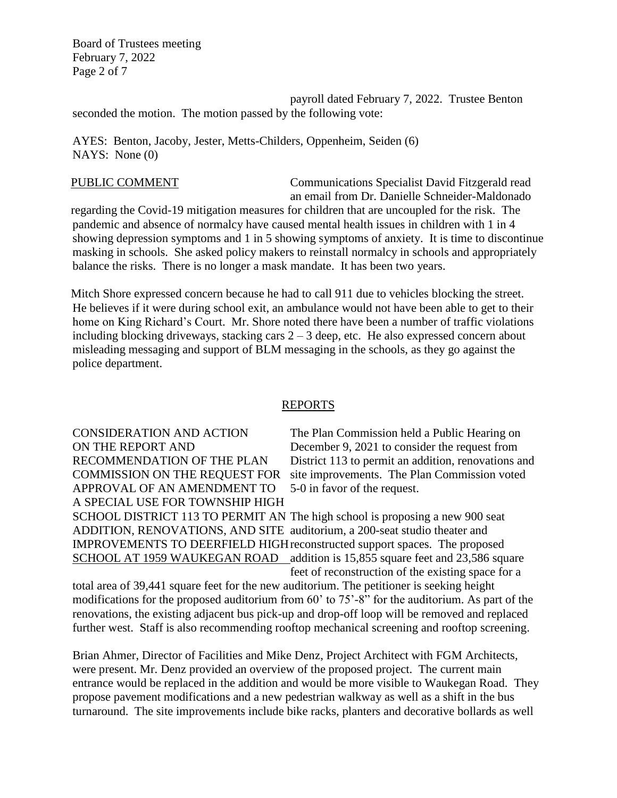Board of Trustees meeting February 7, 2022 Page 2 of 7

payroll dated February 7, 2022. Trustee Benton seconded the motion. The motion passed by the following vote:

AYES: Benton, Jacoby, Jester, Metts-Childers, Oppenheim, Seiden (6) NAYS: None (0)

PUBLIC COMMENT Communications Specialist David Fitzgerald read an email from Dr. Danielle Schneider-Maldonado

regarding the Covid-19 mitigation measures for children that are uncoupled for the risk. The pandemic and absence of normalcy have caused mental health issues in children with 1 in 4 showing depression symptoms and 1 in 5 showing symptoms of anxiety. It is time to discontinue masking in schools. She asked policy makers to reinstall normalcy in schools and appropriately balance the risks. There is no longer a mask mandate. It has been two years.

Mitch Shore expressed concern because he had to call 911 due to vehicles blocking the street. He believes if it were during school exit, an ambulance would not have been able to get to their home on King Richard's Court. Mr. Shore noted there have been a number of traffic violations including blocking driveways, stacking cars  $2 - 3$  deep, etc. He also expressed concern about misleading messaging and support of BLM messaging in the schools, as they go against the police department.

## REPORTS

APPROVAL OF AN AMENDMENT TO 5-0 in favor of the request. A SPECIAL USE FOR TOWNSHIP HIGH

CONSIDERATION AND ACTION The Plan Commission held a Public Hearing on ON THE REPORT AND December 9, 2021 to consider the request from RECOMMENDATION OF THE PLAN District 113 to permit an addition, renovations and COMMISSION ON THE REQUEST FOR site improvements. The Plan Commission voted

SCHOOL DISTRICT 113 TO PERMIT AN The high school is proposing a new 900 seat ADDITION, RENOVATIONS, AND SITE auditorium, a 200-seat studio theater and IMPROVEMENTS TO DEERFIELD HIGHreconstructed support spaces. The proposed SCHOOL AT 1959 WAUKEGAN ROAD addition is 15,855 square feet and 23,586 square feet of reconstruction of the existing space for a

total area of 39,441 square feet for the new auditorium. The petitioner is seeking height modifications for the proposed auditorium from 60' to 75'-8" for the auditorium. As part of the renovations, the existing adjacent bus pick-up and drop-off loop will be removed and replaced further west. Staff is also recommending rooftop mechanical screening and rooftop screening.

Brian Ahmer, Director of Facilities and Mike Denz, Project Architect with FGM Architects, were present. Mr. Denz provided an overview of the proposed project. The current main entrance would be replaced in the addition and would be more visible to Waukegan Road. They propose pavement modifications and a new pedestrian walkway as well as a shift in the bus turnaround. The site improvements include bike racks, planters and decorative bollards as well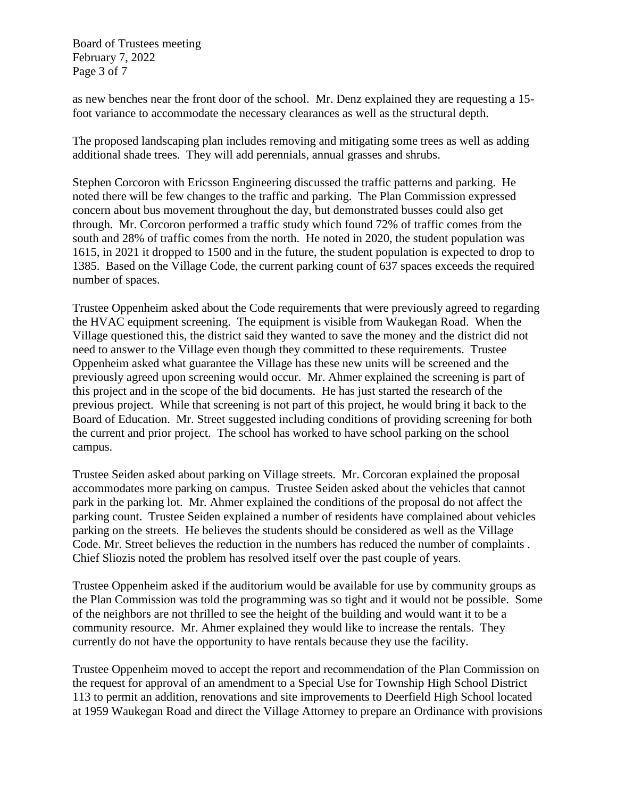Board of Trustees meeting February 7, 2022 Page 3 of 7

as new benches near the front door of the school. Mr. Denz explained they are requesting a 15 foot variance to accommodate the necessary clearances as well as the structural depth.

The proposed landscaping plan includes removing and mitigating some trees as well as adding additional shade trees. They will add perennials, annual grasses and shrubs.

Stephen Corcoron with Ericsson Engineering discussed the traffic patterns and parking. He noted there will be few changes to the traffic and parking. The Plan Commission expressed concern about bus movement throughout the day, but demonstrated busses could also get through. Mr. Corcoron performed a traffic study which found 72% of traffic comes from the south and 28% of traffic comes from the north. He noted in 2020, the student population was 1615, in 2021 it dropped to 1500 and in the future, the student population is expected to drop to 1385. Based on the Village Code, the current parking count of 637 spaces exceeds the required number of spaces.

Trustee Oppenheim asked about the Code requirements that were previously agreed to regarding the HVAC equipment screening. The equipment is visible from Waukegan Road. When the Village questioned this, the district said they wanted to save the money and the district did not need to answer to the Village even though they committed to these requirements. Trustee Oppenheim asked what guarantee the Village has these new units will be screened and the previously agreed upon screening would occur. Mr. Ahmer explained the screening is part of this project and in the scope of the bid documents. He has just started the research of the previous project. While that screening is not part of this project, he would bring it back to the Board of Education. Mr. Street suggested including conditions of providing screening for both the current and prior project. The school has worked to have school parking on the school campus.

Trustee Seiden asked about parking on Village streets. Mr. Corcoran explained the proposal accommodates more parking on campus. Trustee Seiden asked about the vehicles that cannot park in the parking lot. Mr. Ahmer explained the conditions of the proposal do not affect the parking count. Trustee Seiden explained a number of residents have complained about vehicles parking on the streets. He believes the students should be considered as well as the Village Code. Mr. Street believes the reduction in the numbers has reduced the number of complaints . Chief Sliozis noted the problem has resolved itself over the past couple of years.

Trustee Oppenheim asked if the auditorium would be available for use by community groups as the Plan Commission was told the programming was so tight and it would not be possible. Some of the neighbors are not thrilled to see the height of the building and would want it to be a community resource. Mr. Ahmer explained they would like to increase the rentals. They currently do not have the opportunity to have rentals because they use the facility.

Trustee Oppenheim moved to accept the report and recommendation of the Plan Commission on the request for approval of an amendment to a Special Use for Township High School District 113 to permit an addition, renovations and site improvements to Deerfield High School located at 1959 Waukegan Road and direct the Village Attorney to prepare an Ordinance with provisions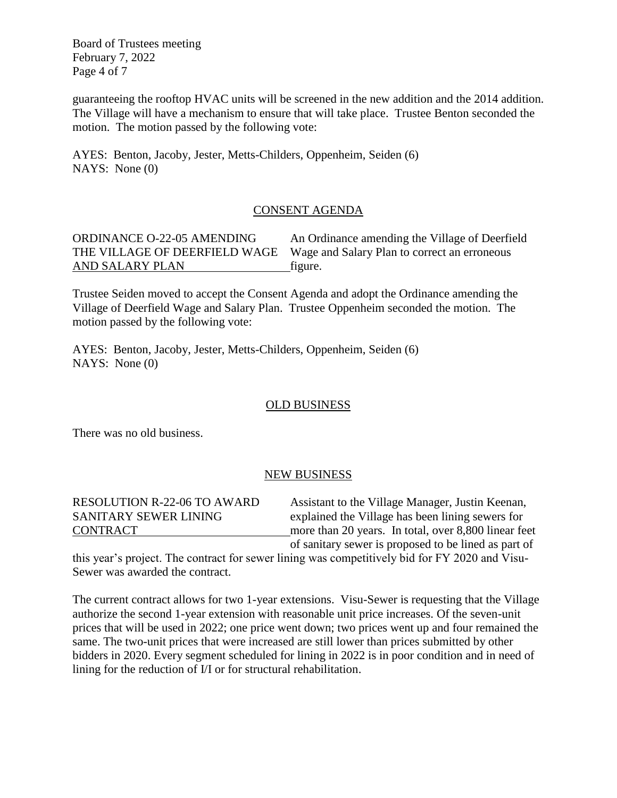Board of Trustees meeting February 7, 2022 Page 4 of 7

guaranteeing the rooftop HVAC units will be screened in the new addition and the 2014 addition. The Village will have a mechanism to ensure that will take place. Trustee Benton seconded the motion. The motion passed by the following vote:

AYES: Benton, Jacoby, Jester, Metts-Childers, Oppenheim, Seiden (6) NAYS: None (0)

### CONSENT AGENDA

AND SALARY PLAN figure.

ORDINANCE O-22-05 AMENDING An Ordinance amending the Village of Deerfield THE VILLAGE OF DEERFIELD WAGE Wage and Salary Plan to correct an erroneous

Trustee Seiden moved to accept the Consent Agenda and adopt the Ordinance amending the Village of Deerfield Wage and Salary Plan. Trustee Oppenheim seconded the motion. The motion passed by the following vote:

AYES: Benton, Jacoby, Jester, Metts-Childers, Oppenheim, Seiden (6) NAYS: None (0)

# OLD BUSINESS

There was no old business.

### NEW BUSINESS

RESOLUTION R-22-06 TO AWARD Assistant to the Village Manager, Justin Keenan, SANITARY SEWER LINING explained the Village has been lining sewers for CONTRACT more than 20 years. In total, over 8,800 linear feet of sanitary sewer is proposed to be lined as part of

this year's project. The contract for sewer lining was competitively bid for FY 2020 and Visu-Sewer was awarded the contract.

The current contract allows for two 1-year extensions. Visu-Sewer is requesting that the Village authorize the second 1-year extension with reasonable unit price increases. Of the seven-unit prices that will be used in 2022; one price went down; two prices went up and four remained the same. The two-unit prices that were increased are still lower than prices submitted by other bidders in 2020. Every segment scheduled for lining in 2022 is in poor condition and in need of lining for the reduction of I/I or for structural rehabilitation.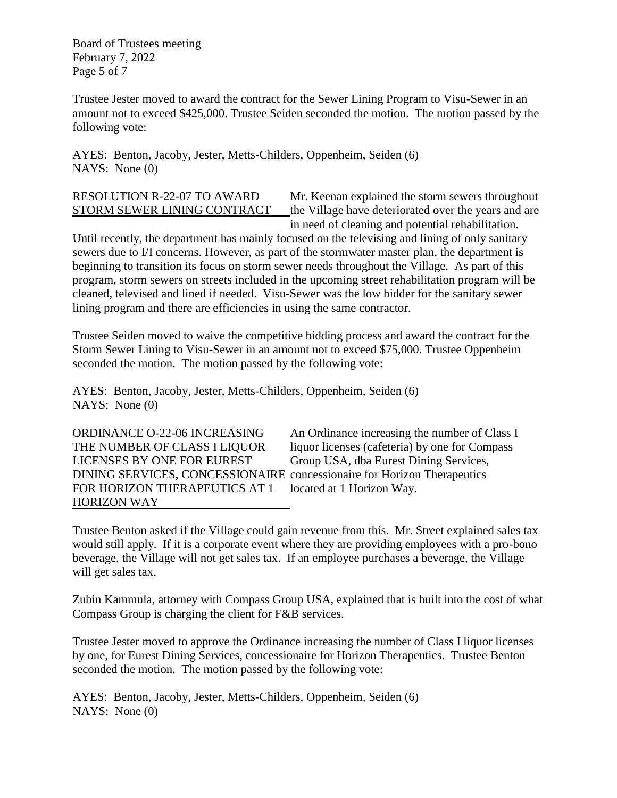Board of Trustees meeting February 7, 2022 Page 5 of 7

Trustee Jester moved to award the contract for the Sewer Lining Program to Visu-Sewer in an amount not to exceed \$425,000. Trustee Seiden seconded the motion. The motion passed by the following vote:

AYES: Benton, Jacoby, Jester, Metts-Childers, Oppenheim, Seiden (6) NAYS: None (0)

RESOLUTION R-22-07 TO AWARD Mr. Keenan explained the storm sewers throughout STORM SEWER LINING CONTRACT the Village have deteriorated over the years and are in need of cleaning and potential rehabilitation.

Until recently, the department has mainly focused on the televising and lining of only sanitary sewers due to I/I concerns. However, as part of the stormwater master plan, the department is beginning to transition its focus on storm sewer needs throughout the Village. As part of this program, storm sewers on streets included in the upcoming street rehabilitation program will be cleaned, televised and lined if needed. Visu-Sewer was the low bidder for the sanitary sewer lining program and there are efficiencies in using the same contractor.

Trustee Seiden moved to waive the competitive bidding process and award the contract for the Storm Sewer Lining to Visu-Sewer in an amount not to exceed \$75,000. Trustee Oppenheim seconded the motion. The motion passed by the following vote:

AYES: Benton, Jacoby, Jester, Metts-Childers, Oppenheim, Seiden (6) NAYS: None (0)

LICENSES BY ONE FOR EUREST Group USA, dba Eurest Dining Services, DINING SERVICES, CONCESSIONAIRE concessionaire for Horizon Therapeutics FOR HORIZON THERAPEUTICS AT 1 located at 1 Horizon Way. HORIZON WAY

ORDINANCE O-22-06 INCREASING An Ordinance increasing the number of Class I THE NUMBER OF CLASS I LIQUOR liquor licenses (cafeteria) by one for Compass

Trustee Benton asked if the Village could gain revenue from this. Mr. Street explained sales tax would still apply. If it is a corporate event where they are providing employees with a pro-bono beverage, the Village will not get sales tax. If an employee purchases a beverage, the Village will get sales tax.

Zubin Kammula, attorney with Compass Group USA, explained that is built into the cost of what Compass Group is charging the client for F&B services.

Trustee Jester moved to approve the Ordinance increasing the number of Class I liquor licenses by one, for Eurest Dining Services, concessionaire for Horizon Therapeutics. Trustee Benton seconded the motion. The motion passed by the following vote:

AYES: Benton, Jacoby, Jester, Metts-Childers, Oppenheim, Seiden (6) NAYS: None (0)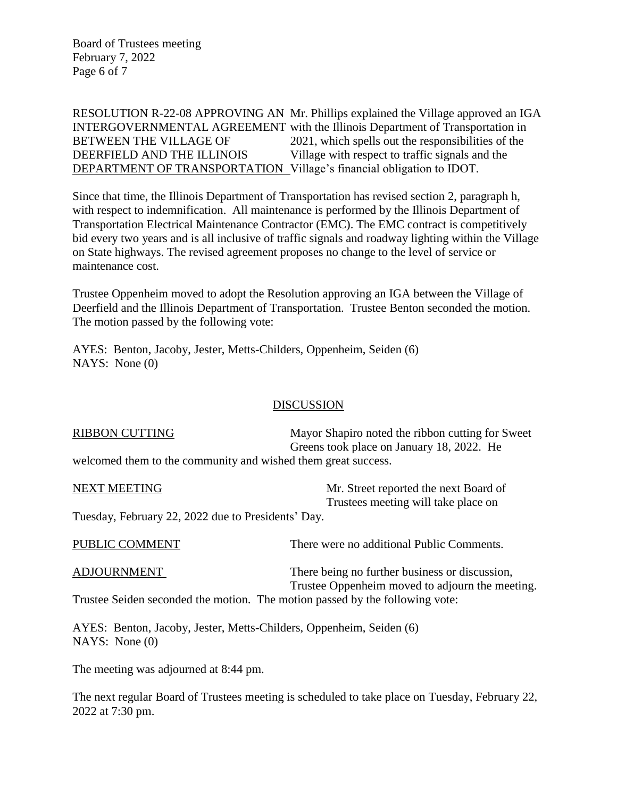Board of Trustees meeting February 7, 2022 Page 6 of 7

RESOLUTION R-22-08 APPROVING AN Mr. Phillips explained the Village approved an IGA INTERGOVERNMENTAL AGREEMENT with the Illinois Department of Transportation in BETWEEN THE VILLAGE OF 2021, which spells out the responsibilities of the DEERFIELD AND THE ILLINOIS Village with respect to traffic signals and the DEPARTMENT OF TRANSPORTATION Village's financial obligation to IDOT.

Since that time, the Illinois Department of Transportation has revised section 2, paragraph h, with respect to indemnification. All maintenance is performed by the Illinois Department of Transportation Electrical Maintenance Contractor (EMC). The EMC contract is competitively bid every two years and is all inclusive of traffic signals and roadway lighting within the Village on State highways. The revised agreement proposes no change to the level of service or maintenance cost.

Trustee Oppenheim moved to adopt the Resolution approving an IGA between the Village of Deerfield and the Illinois Department of Transportation. Trustee Benton seconded the motion. The motion passed by the following vote:

AYES: Benton, Jacoby, Jester, Metts-Childers, Oppenheim, Seiden (6) NAYS: None (0)

### **DISCUSSION**

| <b>RIBBON CUTTING</b>                                         | Mayor Shapiro noted the ribbon cutting for Sweet |
|---------------------------------------------------------------|--------------------------------------------------|
|                                                               | Greens took place on January 18, 2022. He        |
| welcomed them to the community and wished them great success. |                                                  |

NEXT MEETING Mr. Street reported the next Board of Trustees meeting will take place on Tuesday, February 22, 2022 due to Presidents' Day. PUBLIC COMMENT There were no additional Public Comments.

| ADJOURNMENT | There being no further business or discussion,                               |
|-------------|------------------------------------------------------------------------------|
|             | Trustee Oppenheim moved to adjourn the meeting.                              |
|             | Trustee Seiden seconded the motion. The motion passed by the following vote: |

AYES: Benton, Jacoby, Jester, Metts-Childers, Oppenheim, Seiden (6) NAYS: None (0)

The meeting was adjourned at 8:44 pm.

The next regular Board of Trustees meeting is scheduled to take place on Tuesday, February 22, 2022 at 7:30 pm.